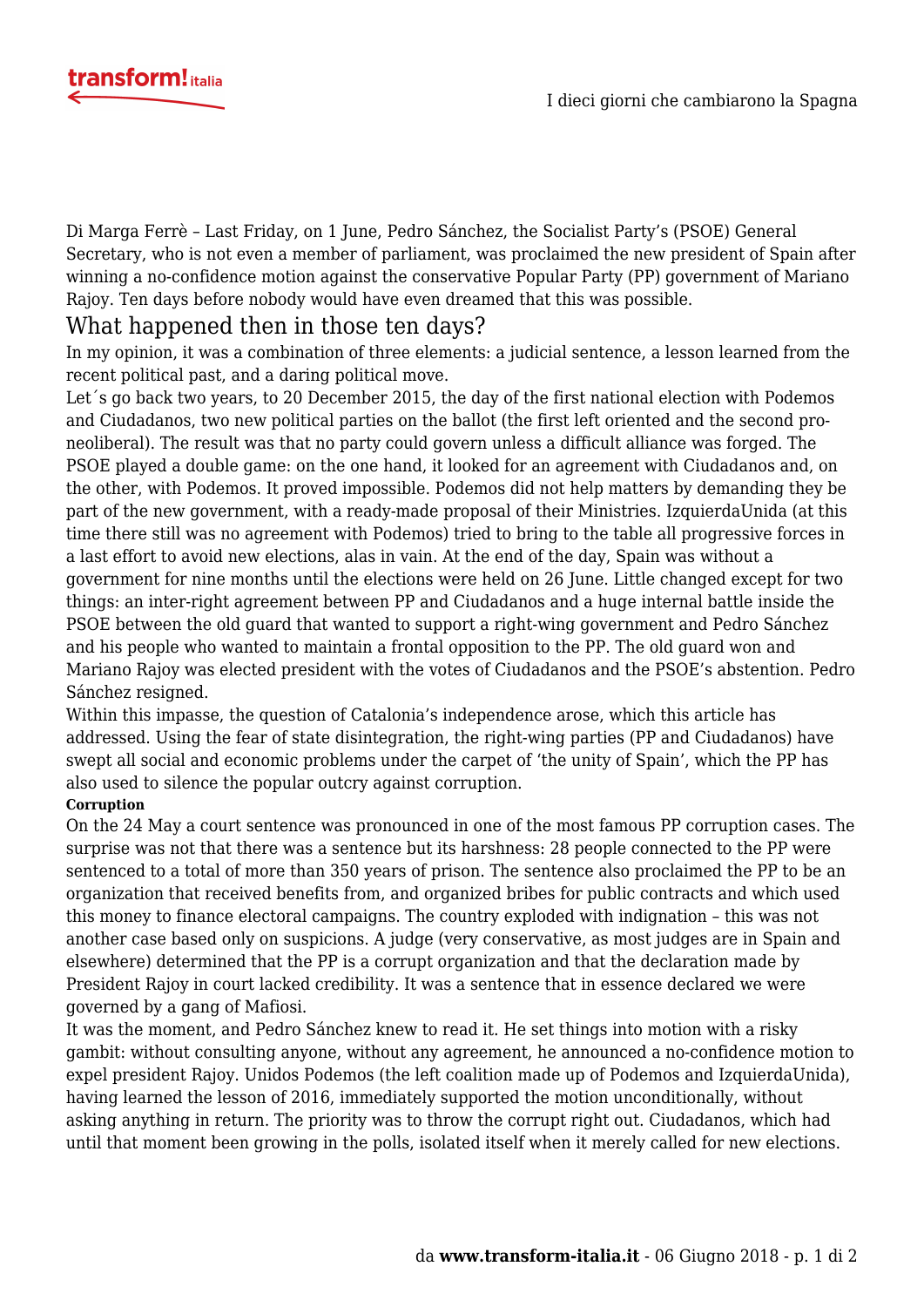

Di [Marga Ferrè](https://twitter.com/marga_ferre) – Last Friday, on 1 June, Pedro Sánchez, the Socialist Party's (PSOE) General Secretary, who is not even a member of parliament, was proclaimed the new president of Spain after winning a no-confidence motion against the conservative Popular Party (PP) government of Mariano Rajoy. Ten days before nobody would have even dreamed that this was possible.

## What happened then in those ten days?

In my opinion, it was a combination of three elements: a judicial sentence, a lesson learned from the recent political past, and a daring political move.

Let´s go back two years, to 20 December 2015, the day of the first national election with Podemos and Ciudadanos, two new political parties on the ballot (the first left oriented and the second proneoliberal). The result was that no party could govern unless a difficult alliance was forged. The PSOE played a double game: on the one hand, it looked for an agreement with Ciudadanos and, on the other, with Podemos. It proved impossible. Podemos did not help matters by demanding they be part of the new government, with a ready-made proposal of their Ministries. IzquierdaUnida (at this time there still was no agreement with Podemos) tried to bring to the table all progressive forces in a last effort to avoid new elections, alas in vain. At the end of the day, Spain was without a government for nine months until the elections were held on 26 June. Little changed except for two things: an inter-right agreement between PP and Ciudadanos and a huge internal battle inside the PSOE between the old guard that wanted to support a right-wing government and Pedro Sánchez and his people who wanted to maintain a frontal opposition to the PP. The old guard won and Mariano Rajoy was elected president with the votes of Ciudadanos and the PSOE's abstention. Pedro Sánchez resigned.

Within this impasse, the question of Catalonia's independence arose, which this article has addressed. Using the fear of state disintegration, the right-wing parties (PP and Ciudadanos) have swept all social and economic problems under the carpet of 'the unity of Spain', which the PP has also used to silence the popular outcry against corruption.

## **Corruption**

On the 24 May a court sentence was pronounced in one of the most famous PP corruption cases. The surprise was not that there was a sentence but its harshness: 28 people connected to the PP were sentenced to a total of more than 350 years of prison. The sentence also proclaimed the PP to be an organization that received benefits from, and organized bribes for public contracts and which used this money to finance electoral campaigns. The country exploded with indignation – this was not another case based only on suspicions. A judge (very conservative, as most judges are in Spain and elsewhere) determined that the PP is a corrupt organization and that the declaration made by President Rajoy in court lacked credibility. It was a sentence that in essence declared we were governed by a gang of Mafiosi.

It was the moment, and Pedro Sánchez knew to read it. He set things into motion with a risky gambit: without consulting anyone, without any agreement, he announced a no-confidence motion to expel president Rajoy. Unidos Podemos (the left coalition made up of Podemos and IzquierdaUnida), having learned the lesson of 2016, immediately supported the motion unconditionally, without asking anything in return. The priority was to throw the corrupt right out. Ciudadanos, which had until that moment been growing in the polls, isolated itself when it merely called for new elections.